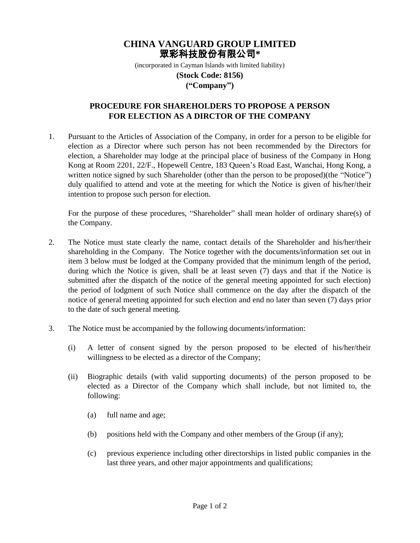## **CHINA VANGUARD GROUP LIMITED** 眾彩科技股份有限公司**\***

(incorporated in Cayman Islands with limited liability) **(Stock Code: 8156) ("Company")**

## **PROCEDURE FOR SHAREHOLDERS TO PROPOSE A PERSON FOR ELECTION AS A DIRCTOR OF THE COMPANY**

1. Pursuant to the Articles of Association of the Company, in order for a person to be eligible for election as a Director where such person has not been recommended by the Directors for election, a Shareholder may lodge at the principal place of business of the Company in Hong Kong at Room 2201, 22/F., Hopewell Centre, 183 Queen's Road East, Wanchai, Hong Kong, a written notice signed by such Shareholder (other than the person to be proposed)(the "Notice") duly qualified to attend and vote at the meeting for which the Notice is given of his/her/their intention to propose such person for election.

For the purpose of these procedures, "Shareholder" shall mean holder of ordinary share(s) of the Company.

- 2. The Notice must state clearly the name, contact details of the Shareholder and his/her/their shareholding in the Company. The Notice together with the documents/information set out in item 3 below must be lodged at the Company provided that the minimum length of the period, during which the Notice is given, shall be at least seven (7) days and that if the Notice is submitted after the dispatch of the notice of the general meeting appointed for such election) the period of lodgment of such Notice shall commence on the day after the dispatch of the notice of general meeting appointed for such election and end no later than seven (7) days prior to the date of such general meeting.
- 3. The Notice must be accompanied by the following documents/information:
	- (i) A letter of consent signed by the person proposed to be elected of his/her/their willingness to be elected as a director of the Company;
	- (ii) Biographic details (with valid supporting documents) of the person proposed to be elected as a Director of the Company which shall include, but not limited to, the following:
		- (a) full name and age;
		- (b) positions held with the Company and other members of the Group (if any);
		- (c) previous experience including other directorships in listed public companies in the last three years, and other major appointments and qualifications;